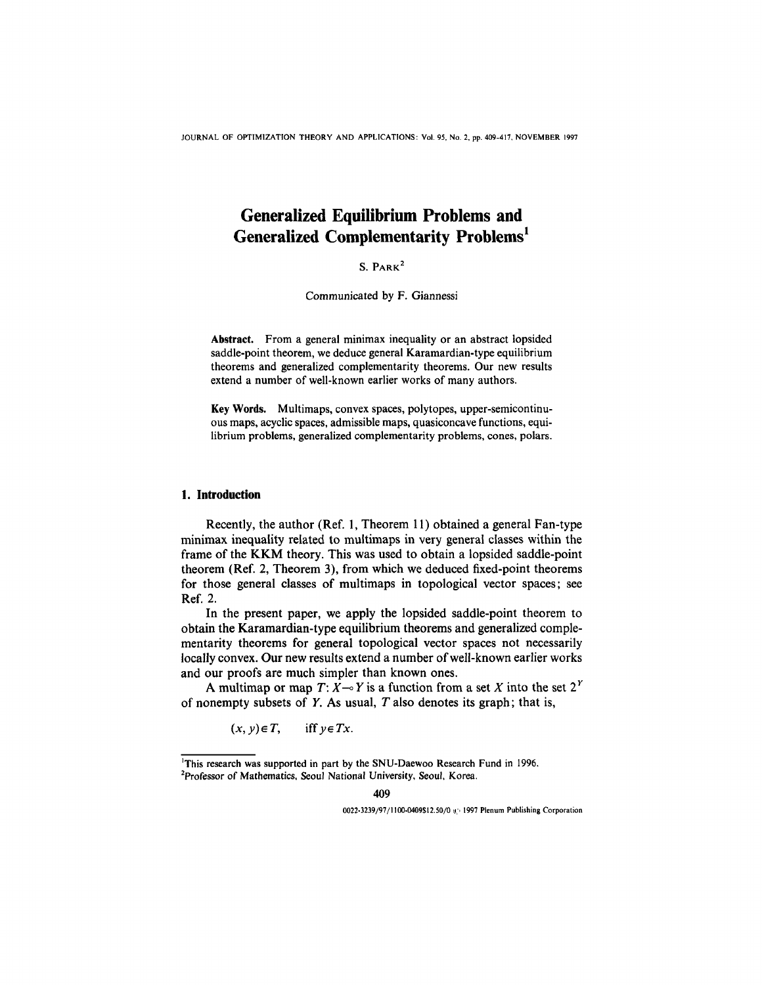JOURNAL OF OPTIMIZATION THEORY AND APPLICATIONS: Vol. 95, No. 2, pp. 409-417, NOVEMBER 1997

# **Generalized Equilibrium Problems and Generalized Complementarity Problems**<sup>1</sup>

**S. PARK2**

Communicated by F. Giannessi

**Abstract.** From a general minimax inequality or an abstract lopsided saddle-point theorem, we deduce general Karamardian-type equilibrium theorems and generalized complementarity theorems. Our new results extend a number of well-known earlier works of many authors.

**Key Words.** Multimaps, convex spaces, polytopes, upper-semicontinuous maps, acyclic spaces, admissible maps, quasiconcave functions, equilibrium problems, generalized complementarity problems, cones, polars.

## **1. Introduction**

Recently, the author (Ref. 1, Theorem 11) obtained a general Fan-type minimax inequality related to multimaps in very general classes within the frame of the KKM theory. This was used to obtain a lopsided saddle-point theorem (Ref. 2, Theorem 3), from which we deduced fixed-point theorems for those general classes of multimaps in topological vector spaces; see Ref. 2.

In the present paper, we apply the lopsided saddle-point theorem to obtain the Karamardian-type equilibrium theorems and generalized complementarity theorems for general topological vector spaces not necessarily locally convex. Our new results extend a number of well-known earlier works and our proofs are much simpler than known ones.

A multimap or map  $T: X \rightarrow Y$  is a function from a set X into the set  $2^Y$ of nonempty subsets of *Y.* As usual, *T* also denotes its graph; that is,

> $(x, y) \in T$ , iff  $y \in Tx$ .

0022-3239/97/1100-0409\$12.50/0 @ 1997 Plenum Publishing Corporation

<sup>&</sup>lt;sup>1</sup>This research was supported in part by the SNU-Daewoo Research Fund in 1996. 2Professor of Mathematics, Seoul National University, Seoul, Korea.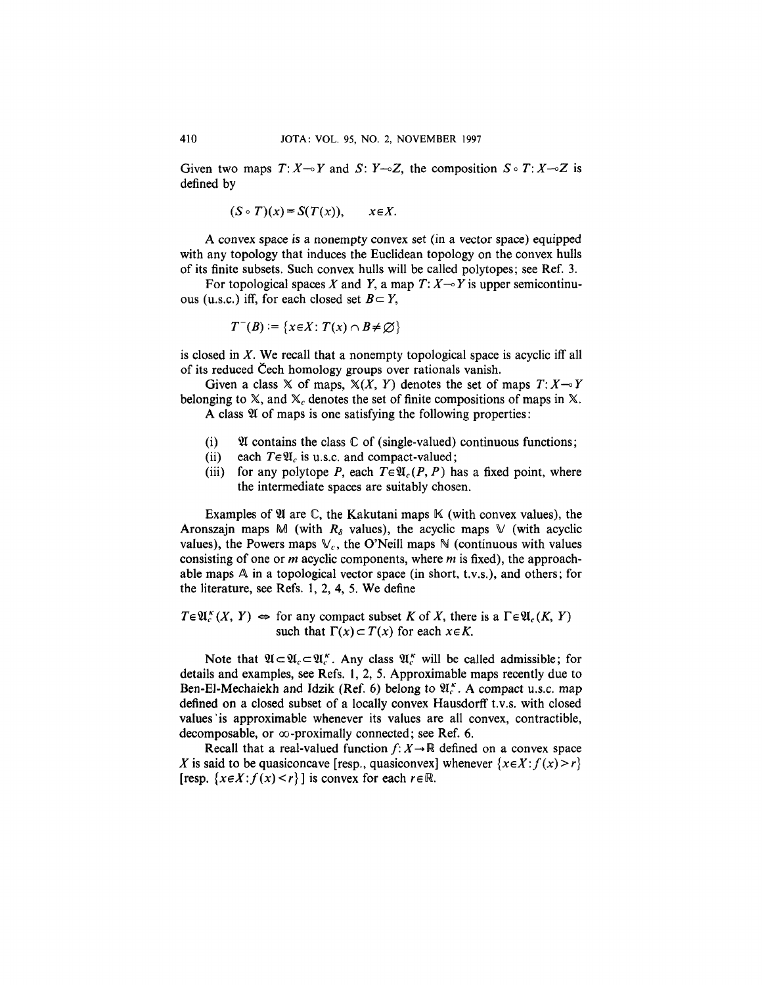Given two maps  $T: X \rightarrow Y$  and  $S: Y \rightarrow Z$ , the composition  $S \circ T: X \rightarrow Z$  is defined by

$$
(S \circ T)(x) = S(T(x)), \qquad x \in X.
$$

A convex space is a nonempty convex set (in a vector space) equipped with any topology that induces the Euclidean topology on the convex hulls of its finite subsets. Such convex hulls will be called polytopes; see Ref. 3.

For topological spaces X and Y, a map  $T: X \rightarrow Y$  is upper semicontinuous (u.s.c.) iff, for each closed set  $B \subset Y$ ,

$$
T^{-}(B) := \{x \in X : T(x) \cap B \neq \emptyset\}
$$

is closed in *X.* We recall that a nonempty topological space is acyclic iff all of its reduced Cech homology groups over rationals vanish.

Given a class  $X$  of maps,  $X(X, Y)$  denotes the set of maps  $T: X \rightarrow Y$ belonging to  $X$ , and  $X_c$  denotes the set of finite compositions of maps in X.

A class  $\mathfrak A$  of maps is one satisfying the following properties:

- (i)  $\mathfrak A$  contains the class  $\mathbb C$  of (single-valued) continuous functions;
- (ii) each  $T \in \mathfrak{A}_c$  is u.s.c. and compact-valued;
- (iii) for any polytope P, each  $T \in \mathfrak{A}_c(P, P)$  has a fixed point, where the intermediate spaces are suitably chosen.

Examples of  $\mathfrak A$  are  $\mathbb C$ , the Kakutani maps  $\mathbb K$  (with convex values), the Aronszajn maps M (with  $R_\delta$  values), the acyclic maps V (with acyclic values), the Powers maps  $\mathbb{V}_c$ , the O'Neill maps  $\mathbb{N}$  (continuous with values consisting of one or *m* acyclic components, where *m* is fixed), the approachable maps  $A$  in a topological vector space (in short, t.v.s.), and others; for the literature, see Refs. 1, *2,* 4, 5. We define

 $T \in \mathfrak{A}_{c}^{K}(X, Y) \Leftrightarrow$  for any compact subset K of X, there is a  $\Gamma \in \mathfrak{A}_{c}(K, Y)$ such that  $\Gamma(x) \subset T(x)$  for each  $x \in K$ .

Note that  $\mathfrak{A} \subset \mathfrak{A}_{c} \subset \mathfrak{A}_{c}^{k}$ . Any class  $\mathfrak{A}_{c}^{k}$  will be called admissible; for details and examples, see Refs. *1,2, 5.* Approximable maps recently due to Ben-El-Mechaiekh and Idzik (Ref. 6) belong to  $\mathfrak{A}_{c}^{k}$ . A compact u.s.c. map defined on a closed subset of a locally convex Hausdorff t.v.s. with closed values'is approximable whenever its values are all convex, contractible, decomposable, or  $\infty$ -proximally connected; see Ref. 6.

Recall that a real-valued function  $f: X \to \mathbb{R}$  defined on a convex space *X* is said to be quasiconcave [resp., quasiconvex] whenever  $\{x \in X : f(x) > r\}$ [resp.  $\{x \in X : f(x) \le r\}$ ] is convex for each  $r \in \mathbb{R}$ .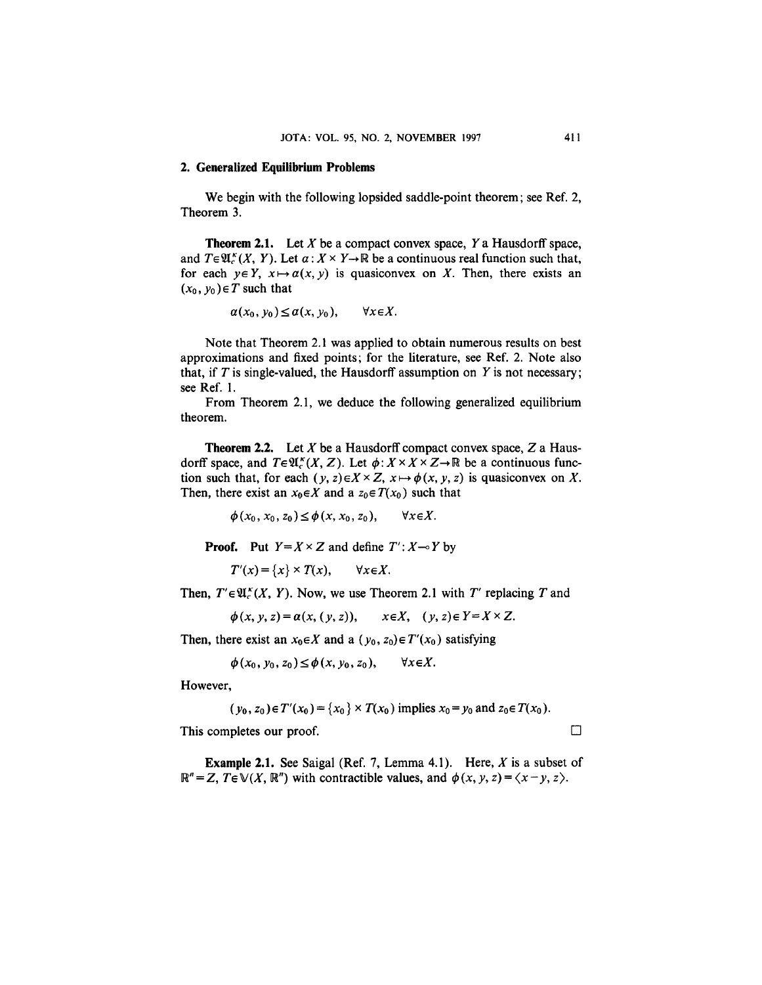#### **2. Generalized Equilibrium Problems**

We begin with the following lopsided saddle-point theorem; see Ref. 2, Theorem 3.

**Theorem 2.1.** Let X be a compact convex space, *Y* a Hausdorff space, and  $T \in \mathfrak{A}_{c}^{k}(X, Y)$ . Let  $\alpha: X \times Y \rightarrow \mathbb{R}$  be a continuous real function such that, for each  $y \in Y$ ,  $x \mapsto a(x, y)$  is quasiconvex on X. Then, there exists an  $(x_0, y_0) \in T$  such that

$$
\alpha(x_0, y_0) \leq \alpha(x, y_0), \qquad \forall x \in X.
$$

Note that Theorem 2.1 was applied to obtain numerous results on best approximations and fixed points; for the literature, see Ref. 2. Note also that, if  $T$  is single-valued, the Hausdorff assumption on  $Y$  is not necessary; see Ref. 1.

From Theorem 2.1, we deduce the following generalized equilibrium theorem.

**Theorem** 2.2. Let *X* be a Hausdorff compact convex space, *Z* a Hausdorff space, and  $T \in \mathfrak{A}_{c}^{k}(X, Z)$ . Let  $\phi: X \times X \times Z \rightarrow \mathbb{R}$  be a continuous function such that, for each  $(y, z) \in X \times Z$ ,  $x \mapsto \phi(x, y, z)$  is quasiconvex on X. Then, there exist an  $x_0 \in X$  and a  $z_0 \in T(x_0)$  such that

> $\phi(x_0, x_0, z_0) \leq \phi(x, x_0, z_0)$ ,  $\forall x \in X$ .

**Proof.** Put  $Y = X \times Z$  and define  $T' : X \rightarrow Y$  by

 $T'(x) = \{x\} \times T(x),$  $\forall x \in X$ .

Then,  $T' \in \mathfrak{A}_{\epsilon}^{\kappa}(X, Y)$ . Now, we use Theorem 2.1 with  $T'$  replacing T and

$$
\phi(x, y, z) = a(x, (y, z)), \quad x \in X, \quad (y, z) \in Y = X \times Z.
$$

Then, there exist an  $x_0 \in X$  and a  $(y_0, z_0) \in T'(x_0)$  satisfying

$$
\phi(x_0, y_0, z_0) \leq \phi(x, y_0, z_0), \qquad \forall x \in X.
$$

However,

$$
(y_0, z_0) \in T'(x_0) = \{x_0\} \times T(x_0)
$$
 implies  $x_0 = y_0$  and  $z_0 \in T(x_0)$ .

This completes our proof.  $\Box$ 

**Example 2.1.** See Saigal (Ref. 7, Lemma 4.1). Here, *X* is a subset of  $\mathbb{R}^n = \mathbb{Z}$ ,  $T \in \mathbb{V}(\mathbb{X}, \mathbb{R}^n)$  with contractible values, and  $\phi(x, y, z) = \langle x - y, z \rangle$ .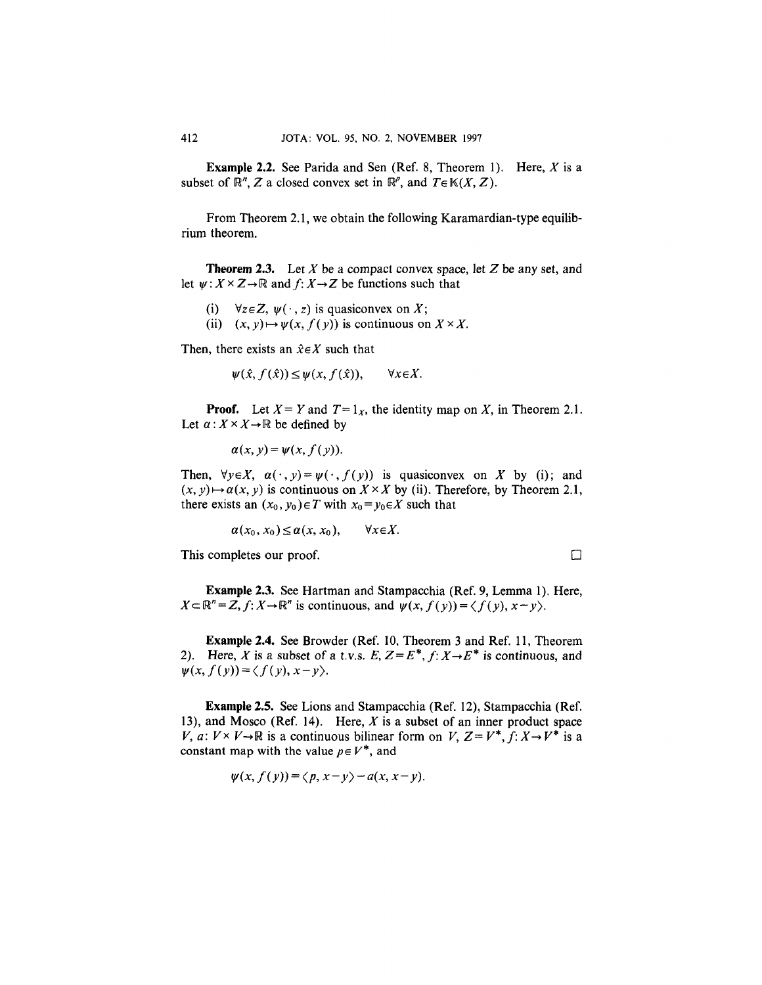**Example 2.2.** See Parida and Sen (Ref. 8, Theorem 1). Here, X is a subset of  $\mathbb{R}^n$ , Z a closed convex set in  $\mathbb{R}^p$ , and  $T \in \mathbb{K}(X, Z)$ .

From Theorem 2.1, we obtain the following Karamardian-type equilibrium theorem.

**Theorem** 2.3. Let *X* be a compact convex space, let Z be any set, and let  $\psi: X \times Z \rightarrow \mathbb{R}$  and  $f: X \rightarrow Z$  be functions such that

- (i)  $\forall z \in \mathbb{Z}, \psi(\cdot, z)$  is quasiconvex on X;
- (ii)  $(x, y) \mapsto \psi(x, f(y))$  is continuous on  $X \times X$ .

Then, there exists an  $\hat{x} \in X$  such that

$$
\psi(\hat{x}, f(\hat{x})) \le \psi(x, f(\hat{x})), \qquad \forall x \in X.
$$

**Proof.** Let  $X = Y$  and  $T = 1_X$ , the identity map on X, in Theorem 2.1. Let  $\alpha: X \times X \rightarrow \mathbb{R}$  be defined by

$$
\alpha(x, y) = \psi(x, f(y)).
$$

Then,  $\forall y \in X$ ,  $\alpha(\cdot, y) = \psi(\cdot, f(y))$  is quasiconvex on X by (i); and  $(x, y) \mapsto a(x, y)$  is continuous on  $X \times X$  by (ii). Therefore, by Theorem 2.1, there exists an  $(x_0, y_0) \in T$  with  $x_0 = y_0 \in X$  such that

$$
\alpha(x_0, x_0) \leq \alpha(x, x_0), \qquad \forall x \in X.
$$

This completes our proof.  $\Box$ 

**Example 2.3.** See Hartman and Stampacchia (Ref. 9, Lemma 1). Here,  $X \subset \mathbb{R}^n = Z, f: X \to \mathbb{R}^n$  is continuous, and  $\psi(x, f(y)) = \langle f(y), x - y \rangle$ .

**Example 2.4.** See Browder (Ref. 10, Theorem 3 and Ref. 11, Theorem 2). Here, X is a subset of a t.v.s.  $E, Z = E^*, f: X \rightarrow E^*$  is continuous, and  $\psi(x, f(y)) = \langle f(y), x-y \rangle$ .

**Example** 2.5. See Lions and Stampacchia (Ref. 12), Stampacchia (Ref. 13), and Mosco (Ref. 14). Here,  $X$  is a subset of an inner product space *V, a:*  $V \times V \rightarrow \mathbb{R}$  is a continuous bilinear form on *V,*  $Z = V^*$ ,  $f: X \rightarrow V^*$  is a constant map with the value  $p \in V^*$ , and

$$
\psi(x, f(y)) = \langle p, x-y \rangle - a(x, x-y).
$$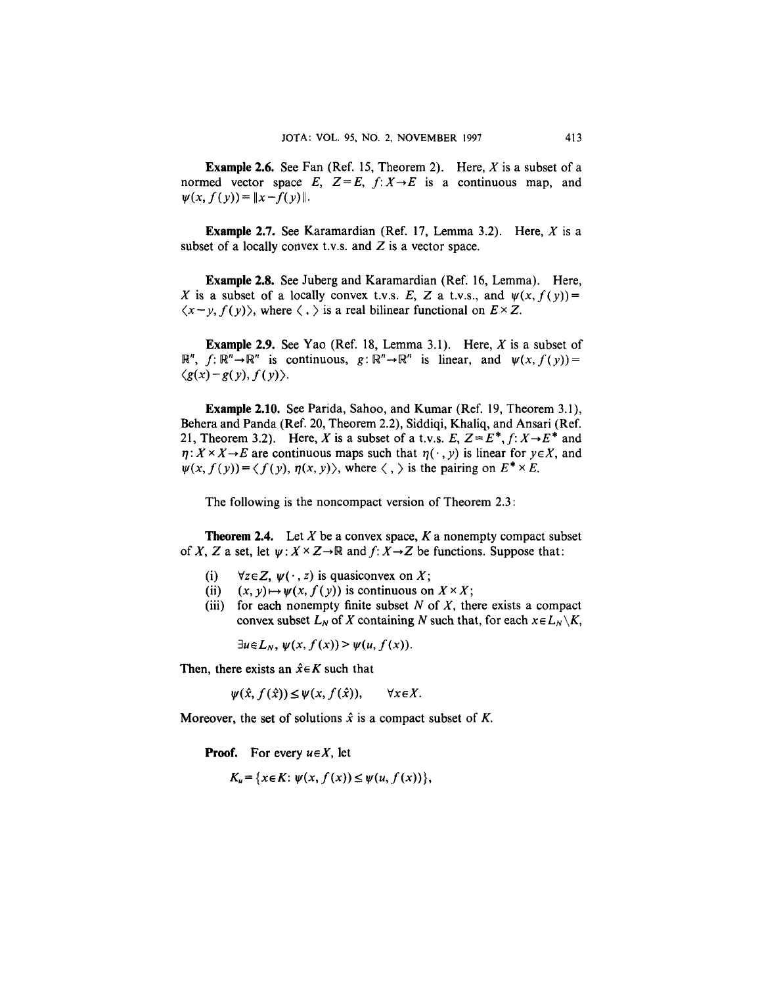**Example 2.6.** See Fan (Ref. 15, Theorem 2). Here, *X* is a subset of a normed vector space E,  $Z = E$ ,  $f: X \rightarrow E$  is a continuous map, and  $\psi(x, f(y)) = \|x - f(y)\|.$ 

**Example** 2.7. See Karamardian (Ref. 17, Lemma 3.2). Here, *X* is a subset of a locally convex t.v.s. and  $Z$  is a vector space.

**Example 2.8.** See Juberg and Karamardian (Ref. 16, Lemma). Here, X is a subset of a locally convex t.v.s. E, Z a t.v.s., and  $\psi(x, f(y)) =$  $\langle x-y, f(y) \rangle$ , where  $\langle , \rangle$  is a real bilinear functional on  $E \times Z$ .

**Example 2.9.** See Yao (Ref. 18, Lemma 3.1). Here, *X* is a subset of  $\mathbb{R}^n$ ,  $f: \mathbb{R}^n \to \mathbb{R}^n$  is continuous,  $g: \mathbb{R}^n \to \mathbb{R}^n$  is linear, and  $\psi(x, f(y)) =$  $\langle g(x)-g(y),f(y)\rangle$ .

**Example 2.10.** See Parida, Sahoo, and Kumar (Ref. 19, Theorem 3.1), Behera and Panda (Ref. 20, Theorem 2.2), Siddiqi, Khaliq, and Ansari (Ref. 21, Theorem 3.2). Here, X is a subset of a t.v.s.  $E, Z = E^*, f: X \rightarrow E^*$  and  $\eta: X \times X \rightarrow E$  are continuous maps such that  $\eta(\cdot, y)$  is linear for  $y \in X$ , and  $\psi(x, f(y)) = \langle f(y), \eta(x, y) \rangle$ , where  $\langle , \rangle$  is the pairing on  $E^* \times E$ .

The following is the noncompact version of Theorem 2.3:

**Theorem 2.4.** Let *X* be a convex space, *K* a nonempty compact subset of X, Z a set, let  $\psi$ :  $X \times Z \rightarrow \mathbb{R}$  and  $f: X \rightarrow Z$  be functions. Suppose that:

- (i)  $\forall z \in \mathbb{Z}, \psi(\cdot, z)$  is quasiconvex on X;
- (ii)  $(x, y) \mapsto \psi(x, f(y))$  is continuous on  $X \times X$ ;
- (iii) for each nonempty finite subset *N* of X, there exists a compact convex subset  $L_N$  of X containing N such that, for each  $x \in L_N \setminus K$ ,

 $\exists u \in L_N$ ,  $\psi(x, f(x)) > \psi(u, f(x))$ .

Then, there exists an  $\hat{x} \in K$  such that

 $\psi(\hat{x}, f(\hat{x})) \leq \psi(x, f(\hat{x})),$  $\forall x \in X.$ 

Moreover, the set of solutions  $\hat{x}$  is a compact subset of K.

**Proof.** For every *ueX,* let

 $K_u = \{x \in K : \psi(x, f(x)) \leq \psi(u, f(x))\},\$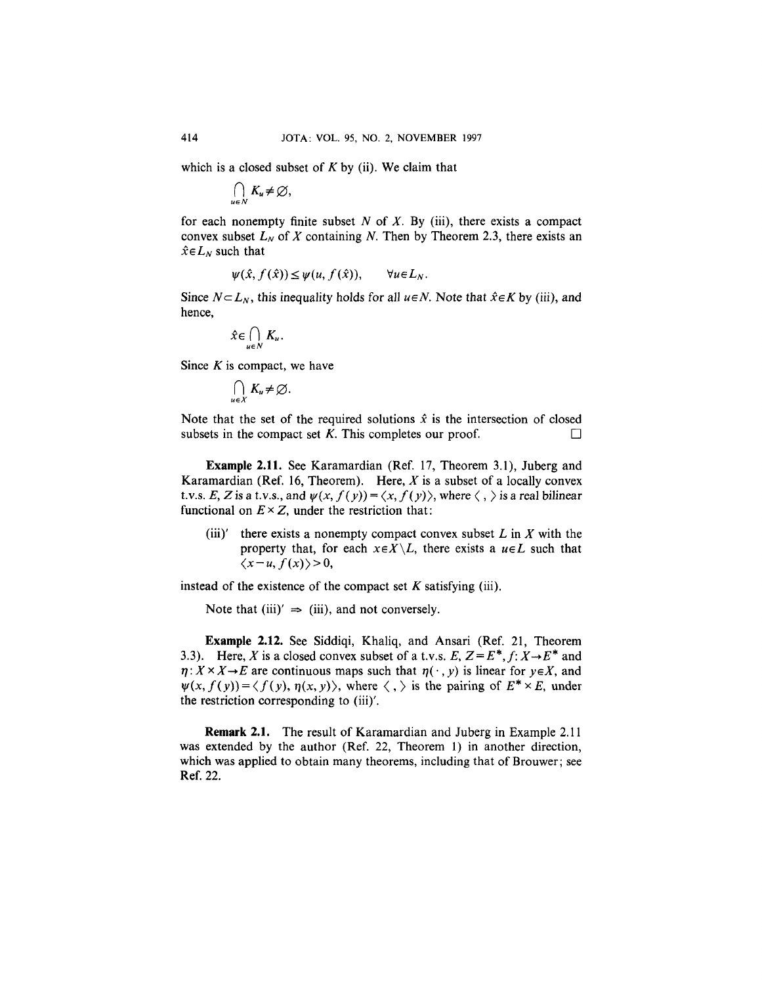which is a closed subset of *K* by (ii). We claim that

$$
\bigcap_{u\in N}K_u\neq\varnothing,
$$

for each nonempty finite subset *N* of *X.* By (iii), there exists a compact convex subset  $L_N$  of X containing N. Then by Theorem 2.3, there exists an  $\hat{x} \in L_N$  such that

$$
\psi(\hat{x}, f(\hat{x})) \leq \psi(u, f(\hat{x})), \qquad \forall u \in L_N
$$

Since  $N\subset L_N$ , this inequality holds for all  $u\in N$ . Note that  $\hat{x}\in K$  by (iii), and hence,

$$
\hat{x} \in \bigcap_{u \in N} K_u.
$$

Since *K* is compact, we have

$$
\bigcap_{u\in X}K_u\neq\varnothing.
$$

Note that the set of the required solutions  $\hat{x}$  is the intersection of closed subsets in the compact set  $K$ . This completes our proof.  $\Box$ 

**Example 2.11.** See Karamardian (Ref. 17, Theorem 3.1), Juberg and Karamardian (Ref. 16, Theorem). Here, *X* is a subset of a locally convex t.v.s. E, Z is a t.v.s., and  $\psi(x, f(y)) = \langle x, f(y) \rangle$ , where  $\langle , \rangle$  is a real bilinear functional on  $E \times Z$ , under the restriction that:

(iii)' there exists a nonempty compact convex subset  $L$  in  $X$  with the property that, for each  $x \in X \setminus L$ , there exists a  $u \in L$  such that  $\langle x-u,f(x)\rangle>0,$ 

instead of the existence of the compact set  $K$  satisfying (iii).

Note that (iii)'  $\Rightarrow$  (iii), and not conversely.

**Example 2.12.** See Siddiqi, Khaliq, and Ansari (Ref. 21, Theorem 3.3). Here, X is a closed convex subset of a t.v.s.  $E$ ,  $Z = E^*$ ,  $f: X \rightarrow E^*$  and  $\eta: X \times X \to E$  are continuous maps such that  $\eta(\cdot, y)$  is linear for  $y \in X$ , and  $\psi(x, f(y)) = \langle f(y), \eta(x, y) \rangle$ , where  $\langle , \rangle$  is the pairing of  $E^* \times E$ , under the restriction corresponding to (iii)'.

**Remark 2.1.** The result of Karamardian and Juberg in Example 2.11 was extended by the author (Ref. 22, Theorem 1) in another direction, which was applied to obtain many theorems, including that of Brouwer; see Ref. 22.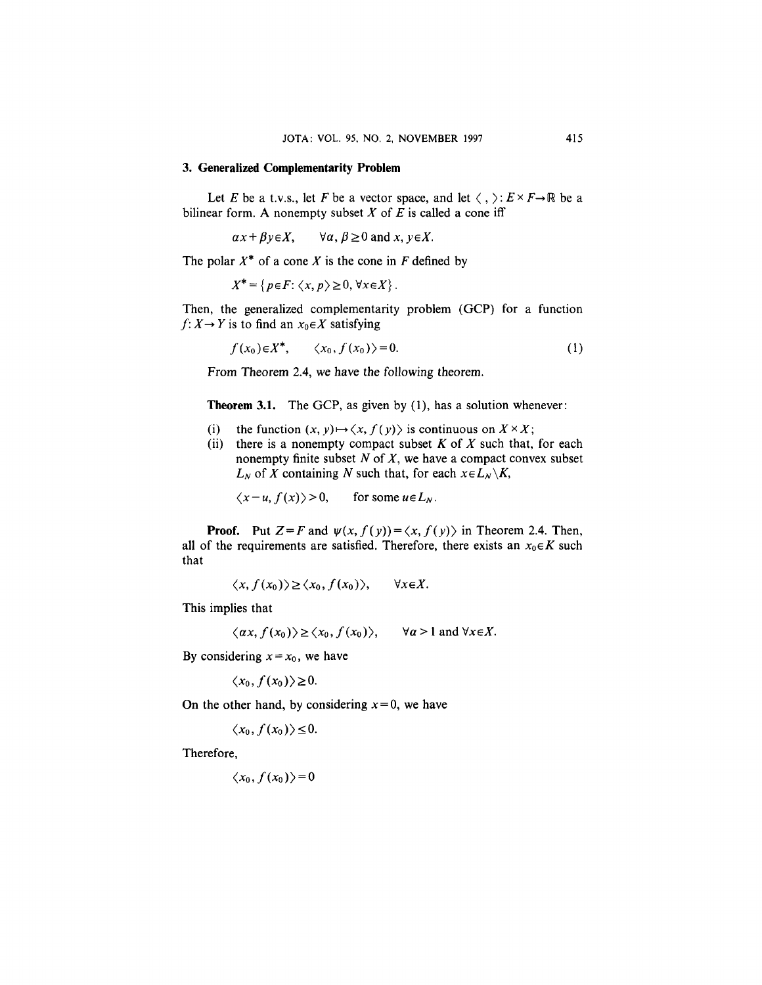### **3. Generalized Complementarity Problem**

Let *E* be a t.v.s., let *F* be a vector space, and let  $\langle , \rangle : E \times F \rightarrow \mathbb{R}$  be a bilinear form. A nonempty subset  $X$  of  $E$  is called a cone iff

 $ax + \beta y \in X$ ,  $\forall \alpha, \beta \ge 0$  and  $x, y \in X$ .

The polar  $X^*$  of a cone *X* is the cone in *F* defined by

$$
X^* = \{ p \in F : \langle x, p \rangle \ge 0, \forall x \in X \}.
$$

Then, the generalized complementarity problem (GCP) for a function  $f: X \rightarrow Y$  is to find an  $x_0 \in X$  satisfying

$$
f(x_0) \in X^*, \qquad \langle x_0, f(x_0) \rangle = 0. \tag{1}
$$

From Theorem 2.4, we have the following theorem.

**Theorem 3.1.** The GCP, as given by (1), has a solution whenever:

- (i) the function  $(x, y) \mapsto \langle x, f(y) \rangle$  is continuous on  $X \times X$ ;
- (ii) there is a nonempty compact subset *K* of *X* such that, for each nonempty finite subset *N* of *X,* we have a compact convex subset *L<sub>N</sub>* of *X* containing *N* such that, for each  $x \in L_N \setminus K$ ,

 $\langle x-u, f(x)\rangle > 0$ , for some  $u \in L_N$ .

**Proof.** Put  $Z = F$  and  $\psi(x, f(y)) = \langle x, f(y) \rangle$  in Theorem 2.4. Then, all of the requirements are satisfied. Therefore, there exists an  $x_0 \in K$  such that

> $\langle x, f(x_0) \rangle \ge \langle x_0, f(x_0) \rangle$ ,  $\forall x \in X.$

This implies that

$$
\langle \alpha x, f(x_0) \rangle \ge \langle x_0, f(x_0) \rangle
$$
,  $\forall \alpha > 1$  and  $\forall x \in X$ .

By considering  $x = x_0$ , we have

 $\langle x_0, f(x_0) \rangle \geq 0.$ 

On the other hand, by considering  $x = 0$ , we have

 $\langle x_0, f(x_0) \rangle \leq 0.$ 

Therefore,

$$
\langle x_0, f(x_0) \rangle = 0
$$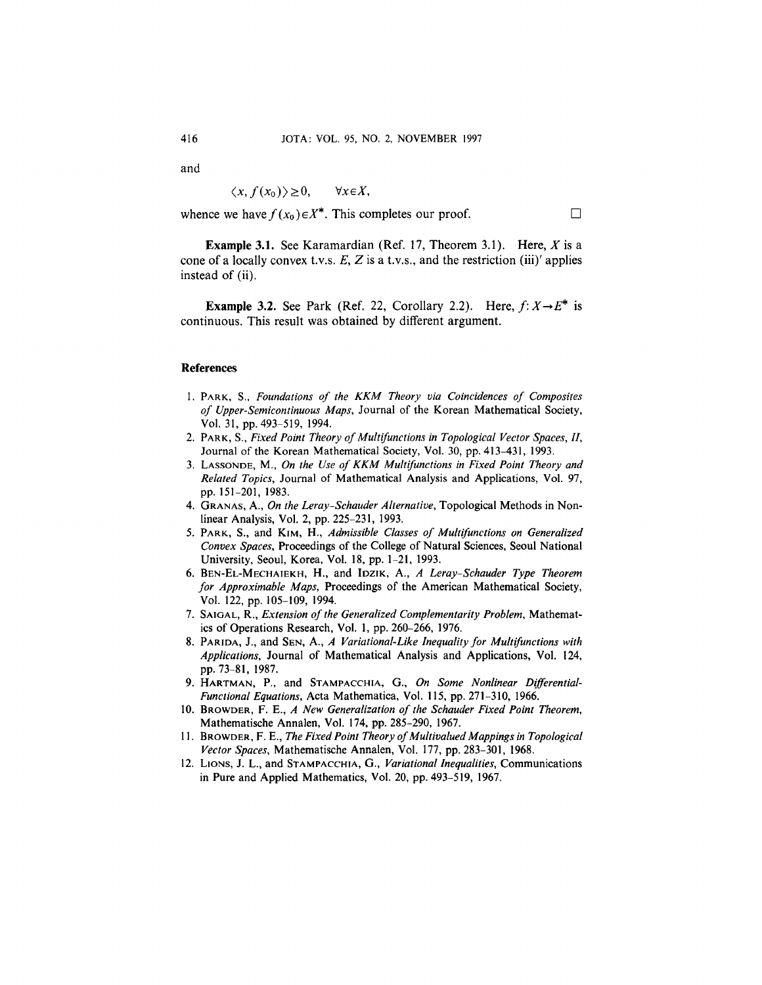and

$$
\langle x, f(x_0) \rangle \geq 0, \qquad \forall x \in X,
$$

whence we have  $f(x_0) \in X^*$ . This completes our proof.  $\Box$ 

**Example 3.1.** See Karamardian (Ref. 17, Theorem 3.1). Here, *X* is a cone of a locally convex t.v.s. *E, Z* is a t.v.s., and the restriction (iii)' applies instead of (ii).

**Example 3.2.** See Park (Ref. 22, Corollary 2.2). Here,  $f: X \rightarrow E^*$  is continuous. This result was obtained by different argument.

#### **References**

- 1. PARK, S., *Foundations of the KKM Theory via Coincidences of Composites of Upper-Semicontinuous Maps,* Journal of the Korean Mathematical Society, Vol. 31, pp. 493-519, 1994.
- 2. PARK, S., *Fixed Point Theory of Multifunctions in Topological Vector Spaces, II,* Journal of the Korean Mathematical Society, Vol. 30, pp. 413-431, 1993.
- 3. LASSONDE, M., *On the Use of KKM Multifunctions in Fixed Point Theory and Related Topics,* Journal of Mathematical Analysis and Applications, Vol. 97, pp. 151-201, 1983.
- 4. GRANAS, A., *On the Leray-Schauder Alternative,* Topological Methods in Nonlinear Analysis, Vol. 2, pp. 225-231, 1993.
- 5. PARK, S., and KIM, H., *Admissible Classes of Multifunctions on Generalized Convex Spaces,* Proceedings of the College of Natural Sciences, Seoul National University, Seoul, Korea, Vol. 18, pp. 1-21, 1993.
- 6. BEN-EL-MECHAIEKH, H., and IDZIK, A., *A Leray-Schauder Type Theorem for Approximable Maps,* Proceedings of the American Mathematical Society, Vol. 122, pp. 105-109, 1994.
- 7. SAIGAL, R., *Extension of the Generalized Complementarity Problem,* Mathematics of Operations Research, Vol. 1, pp. 260-266, 1976.
- 8. PARIDA, J., and SEN, A., *A Variational-Like Inequality for Multifunctions with Applications,* Journal of Mathematical Analysis and Applications, Vol. 124, pp. 73-81, 1987.
- 9. HARTMAN, P., and STAMPACCHIA, G., *On Some Nonlinear Differential-Functional Equations,* Acta Mathematica, Vol. 115, pp. 271-310, 1966.
- 10. BROWDER, F. E., *A New Generalization of the Schauder Fixed Point Theorem,* Mathematische Annalen, Vol. 174, pp. 285-290, 1967.
- 11. BROWDER, F. E., *The Fixed Point Theory of Multivalued Mappings in Topological Vector Spaces,* Mathematische Annalen, Vol. 177, pp. 283-301, 1968.
- 12. LIONS, J. L., and STAMPACCHIA, G., *Variational Inequalities,* Communications in Pure and Applied Mathematics, Vol. 20, pp. 493-519, 1967.